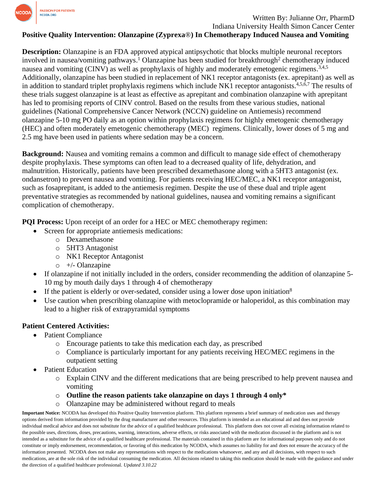

## Written By: Julianne Orr, PharmD Indiana University Health Simon Cancer Center

## **Positive Quality Intervention: Olanzapine (Zyprexa**®**) In Chemotherapy Induced Nausea and Vomiting**

**Description:** Olanzapine is an FDA approved atypical antipsychotic that blocks multiple neuronal receptors involved in nausea/vomiting pathways.<sup>1</sup> Olanzapine has been studied for breakthrough<sup>2</sup> chemotherapy induced nausea and vomiting (CINV) as well as prophylaxis of highly and moderately emetogenic regimens.<sup>3,4,5</sup> Additionally, olanzapine has been studied in replacement of NK1 receptor antagonists (ex. aprepitant) as well as in addition to standard triplet prophylaxis regimens which include NK1 receptor antagonists.<sup>4,5,6,7</sup> The results of these trials suggest olanzapine is at least as effective as aprepitant and combination olanzapine with aprepitant has led to promising reports of CINV control. Based on the results from these various studies, national guidelines (National Comprehensive Cancer Network (NCCN) guideline on Antiemesis) recommend olanzapine 5-10 mg PO daily as an option within prophylaxis regimens for highly emetogenic chemotherapy (HEC) and often moderately emetogenic chemotherapy (MEC) regimens. Clinically, lower doses of 5 mg and 2.5 mg have been used in patients where sedation may be a concern.

**Background:** Nausea and vomiting remains a common and difficult to manage side effect of chemotherapy despite prophylaxis. These symptoms can often lead to a decreased quality of life, dehydration, and malnutrition. Historically, patients have been prescribed dexamethasone along with a 5HT3 antagonist (ex. ondansetron) to prevent nausea and vomiting. For patients receiving HEC/MEC, a NK1 receptor antagonist, such as fosaprepitant, is added to the antiemesis regimen. Despite the use of these dual and triple agent preventative strategies as recommended by national guidelines, nausea and vomiting remains a significant complication of chemotherapy.

**PQI Process:** Upon receipt of an order for a HEC or MEC chemotherapy regimen:

- Screen for appropriate antiemesis medications:
	- o Dexamethasone
	- o 5HT3 Antagonist
	- o NK1 Receptor Antagonist
	- $\circ$  +/- Olanzapine
- If olanzapine if not initially included in the orders, consider recommending the addition of olanzapine 5- 10 mg by mouth daily days 1 through 4 of chemotherapy
- If the patient is elderly or over-sedated, consider using a lower dose upon initiation<sup>8</sup>
- Use caution when prescribing olanzapine with metoclopramide or haloperidol, as this combination may lead to a higher risk of extrapyramidal symptoms

## **Patient Centered Activities:**

- Patient Compliance
	- o Encourage patients to take this medication each day, as prescribed
	- o Compliance is particularly important for any patients receiving HEC/MEC regimens in the outpatient setting
- Patient Education
	- o Explain CINV and the different medications that are being prescribed to help prevent nausea and vomiting
	- o **Outline the reason patients take olanzapine on days 1 through 4 only\***
	- o Olanzapine may be administered without regard to meals

**Important Notice:** NCODA has developed this Positive Quality Intervention platform. This platform represents a brief summary of medication uses and therapy options derived from information provided by the drug manufacturer and other resources. This platform is intended as an educational aid and does not provide individual medical advice and does not substitute for the advice of a qualified healthcare professional. This platform does not cover all existing information related to the possible uses, directions, doses, precautions, warning, interactions, adverse effects, or risks associated with the medication discussed in the platform and is not intended as a substitute for the advice of a qualified healthcare professional. The materials contained in this platform are for informational purposes only and do not constitute or imply endorsement, recommendation, or favoring of this medication by NCODA, which assumes no liability for and does not ensure the accuracy of the information presented. NCODA does not make any representations with respect to the medications whatsoever, and any and all decisions, with respect to such medications, are at the sole risk of the individual consuming the medication. All decisions related to taking this medication should be made with the guidance and under the direction of a qualified healthcare professional. *Updated 3.10.22*